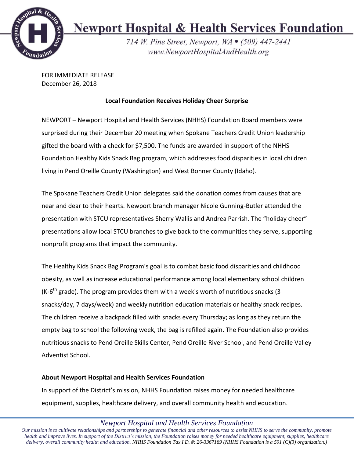

## **Newport Hospital & Health Services Foundation**

714 W. Pine Street, Newport, WA • (509) 447-2441 www.NewportHospitalAndHealth.org

FOR IMMEDIATE RELEASE December 26, 2018

## **Local Foundation Receives Holiday Cheer Surprise**

NEWPORT – Newport Hospital and Health Services (NHHS) Foundation Board members were surprised during their December 20 meeting when Spokane Teachers Credit Union leadership gifted the board with a check for \$7,500. The funds are awarded in support of the NHHS Foundation Healthy Kids Snack Bag program, which addresses food disparities in local children living in Pend Oreille County (Washington) and West Bonner County (Idaho).

The Spokane Teachers Credit Union delegates said the donation comes from causes that are near and dear to their hearts. Newport branch manager Nicole Gunning-Butler attended the presentation with STCU representatives Sherry Wallis and Andrea Parrish. The "holiday cheer" presentations allow local STCU branches to give back to the communities they serve, supporting nonprofit programs that impact the community.

The Healthy Kids Snack Bag Program's goal is to combat basic food disparities and childhood obesity, as well as increase educational performance among local elementary school children (K-6<sup>th</sup> grade). The program provides them with a week's worth of nutritious snacks (3 snacks/day, 7 days/week) and weekly nutrition education materials or healthy snack recipes. The children receive a backpack filled with snacks every Thursday; as long as they return the empty bag to school the following week, the bag is refilled again. The Foundation also provides nutritious snacks to Pend Oreille Skills Center, Pend Oreille River School, and Pend Oreille Valley Adventist School.

## **About Newport Hospital and Health Services Foundation**

In support of the District's mission, NHHS Foundation raises money for needed healthcare equipment, supplies, healthcare delivery, and overall community health and education.

*Newport Hospital and Health Services Foundation*

Our mission is to cultivate relationships and partnerships to generate financial and other resources to assist NHHS to serve the community, promote health and improve lives. In support of the District's mission, the Foundation raises money for needed healthcare equipment, supplies, healthcare *delivery, overall community health and education. NHHS Foundation Tax I.D. #: 26-3367189 (NHHS Foundation is a 501 (C)(3) organization.)*